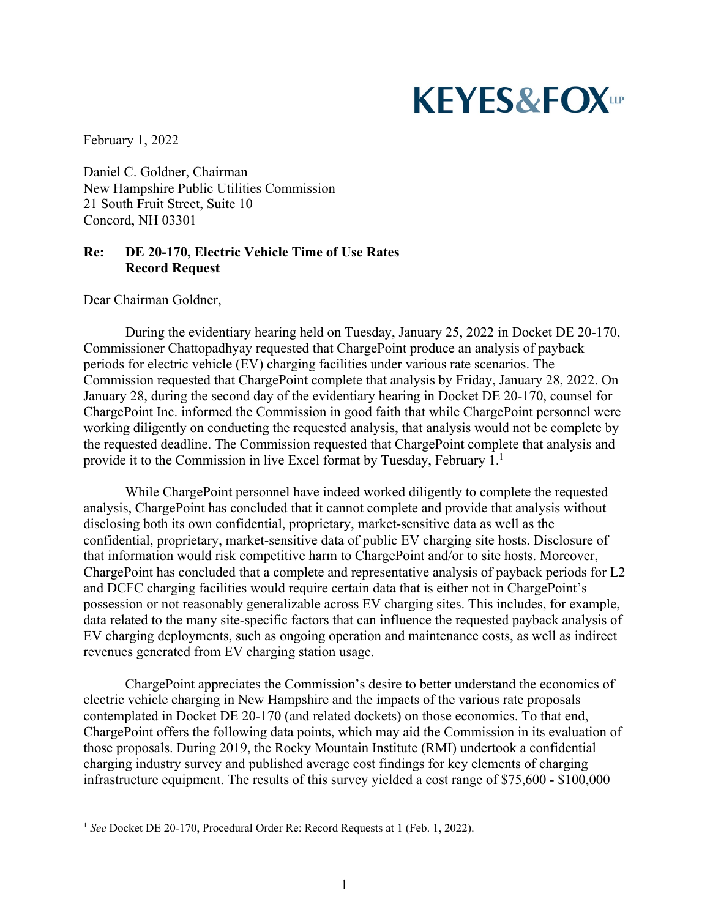## **KEYES&FOXLLP**

February 1, 2022

Daniel C. Goldner, Chairman New Hampshire Public Utilities Commission 21 South Fruit Street, Suite 10 Concord, NH 03301

## **Re: DE 20-170, Electric Vehicle Time of Use Rates Record Request**

Dear Chairman Goldner,

During the evidentiary hearing held on Tuesday, January 25, 2022 in Docket DE 20-170, Commissioner Chattopadhyay requested that ChargePoint produce an analysis of payback periods for electric vehicle (EV) charging facilities under various rate scenarios. The Commission requested that ChargePoint complete that analysis by Friday, January 28, 2022. On January 28, during the second day of the evidentiary hearing in Docket DE 20-170, counsel for ChargePoint Inc. informed the Commission in good faith that while ChargePoint personnel were working diligently on conducting the requested analysis, that analysis would not be complete by the requested deadline. The Commission requested that ChargePoint complete that analysis and provide it to the Commission in live Excel format by Tuesday, February 1.<sup>1</sup>

While ChargePoint personnel have indeed worked diligently to complete the requested analysis, ChargePoint has concluded that it cannot complete and provide that analysis without disclosing both its own confidential, proprietary, market-sensitive data as well as the confidential, proprietary, market-sensitive data of public EV charging site hosts. Disclosure of that information would risk competitive harm to ChargePoint and/or to site hosts. Moreover, ChargePoint has concluded that a complete and representative analysis of payback periods for L2 and DCFC charging facilities would require certain data that is either not in ChargePoint's possession or not reasonably generalizable across EV charging sites. This includes, for example, data related to the many site-specific factors that can influence the requested payback analysis of EV charging deployments, such as ongoing operation and maintenance costs, as well as indirect revenues generated from EV charging station usage.

ChargePoint appreciates the Commission's desire to better understand the economics of electric vehicle charging in New Hampshire and the impacts of the various rate proposals contemplated in Docket DE 20-170 (and related dockets) on those economics. To that end, ChargePoint offers the following data points, which may aid the Commission in its evaluation of those proposals. During 2019, the Rocky Mountain Institute (RMI) undertook a confidential charging industry survey and published average cost findings for key elements of charging infrastructure equipment. The results of this survey yielded a cost range of \$75,600 - \$100,000

<sup>&</sup>lt;sup>1</sup> See Docket DE 20-170, Procedural Order Re: Record Requests at 1 (Feb. 1, 2022).